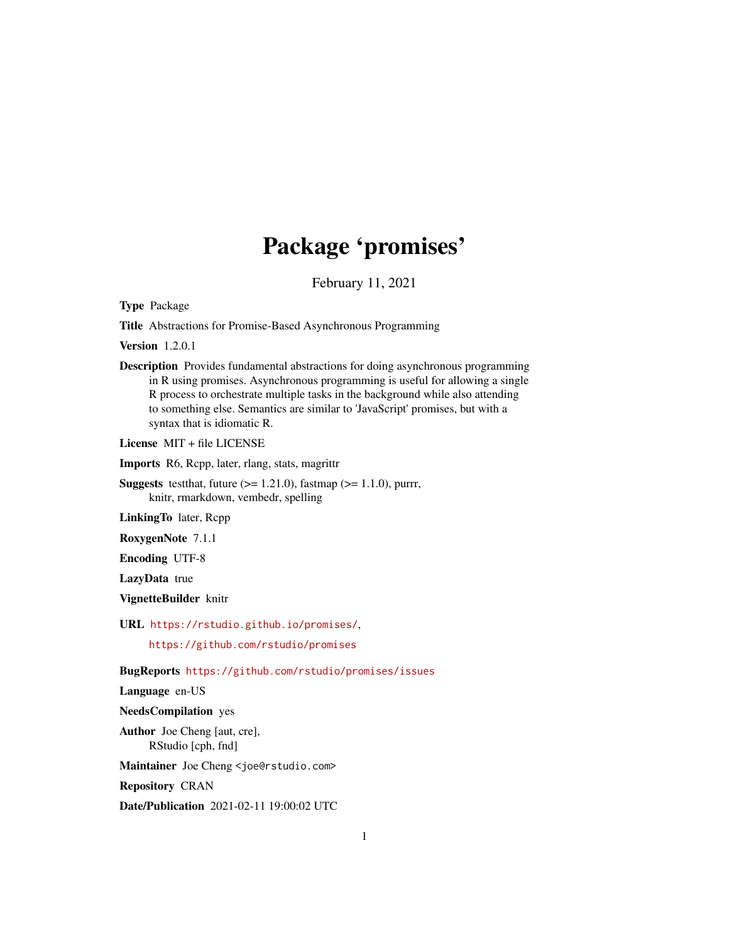# Package 'promises'

February 11, 2021

<span id="page-0-0"></span>Type Package

Title Abstractions for Promise-Based Asynchronous Programming

Version 1.2.0.1

Description Provides fundamental abstractions for doing asynchronous programming in R using promises. Asynchronous programming is useful for allowing a single R process to orchestrate multiple tasks in the background while also attending to something else. Semantics are similar to 'JavaScript' promises, but with a syntax that is idiomatic R.

License MIT + file LICENSE

Imports R6, Rcpp, later, rlang, stats, magrittr

**Suggests** test that, future  $(>= 1.21.0)$ , fastmap  $(>= 1.1.0)$ , purrr, knitr, rmarkdown, vembedr, spelling

LinkingTo later, Rcpp

RoxygenNote 7.1.1

Encoding UTF-8

LazyData true

VignetteBuilder knitr

URL <https://rstudio.github.io/promises/>,

<https://github.com/rstudio/promises>

BugReports <https://github.com/rstudio/promises/issues>

Language en-US

NeedsCompilation yes

Author Joe Cheng [aut, cre], RStudio [cph, fnd]

Maintainer Joe Cheng <joe@rstudio.com>

Repository CRAN

Date/Publication 2021-02-11 19:00:02 UTC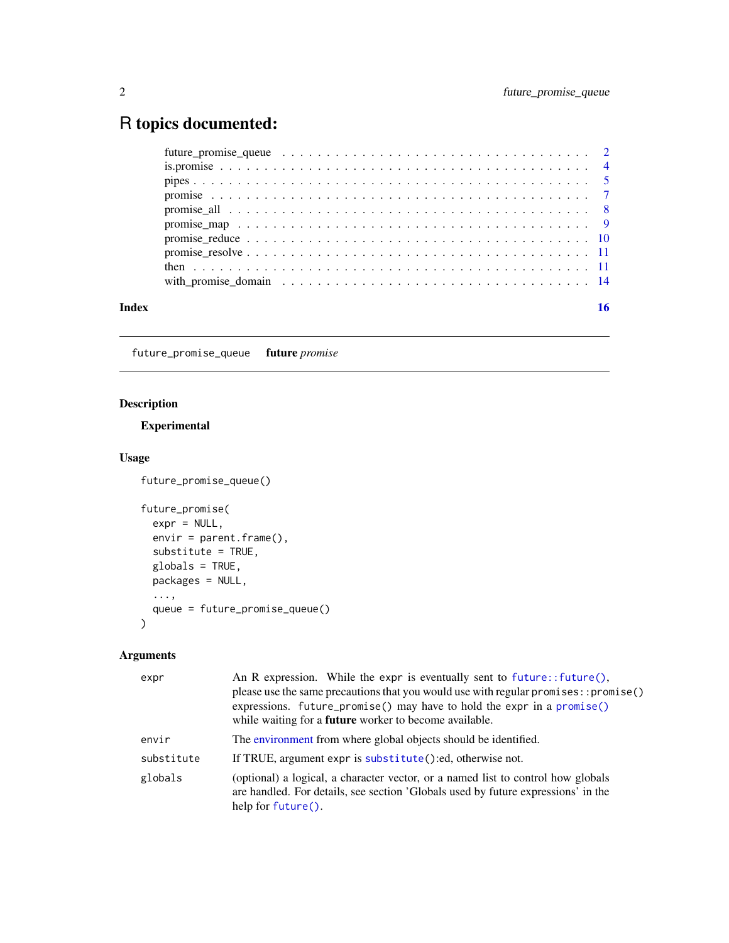# <span id="page-1-0"></span>R topics documented:

| Index |  |
|-------|--|

<span id="page-1-1"></span>future\_promise\_queue future *promise*

# Description

# Experimental

# Usage

```
future_promise_queue()
```

```
future_promise(
 expr = NULL,envir = parent.frame(),substitute = TRUE,
 globals = TRUE,
 packages = NULL,
 ...,
 queue = future_promise_queue()
)
```
# Arguments

| expr       | An R expression. While the expr is eventually sent to $future$ : $future$ .<br>please use the same precautions that you would use with regular promises: : promise()<br>expressions. future_promise() may have to hold the expr in a $promise()$<br>while waiting for a <b>future</b> worker to become available. |
|------------|-------------------------------------------------------------------------------------------------------------------------------------------------------------------------------------------------------------------------------------------------------------------------------------------------------------------|
| envir      | The environment from where global objects should be identified.                                                                                                                                                                                                                                                   |
| substitute | If TRUE, argument expr is substitute():ed, otherwise not.                                                                                                                                                                                                                                                         |
| globals    | (optional) a logical, a character vector, or a named list to control how globals<br>are handled. For details, see section 'Globals used by future expressions' in the<br>help for $future()$ .                                                                                                                    |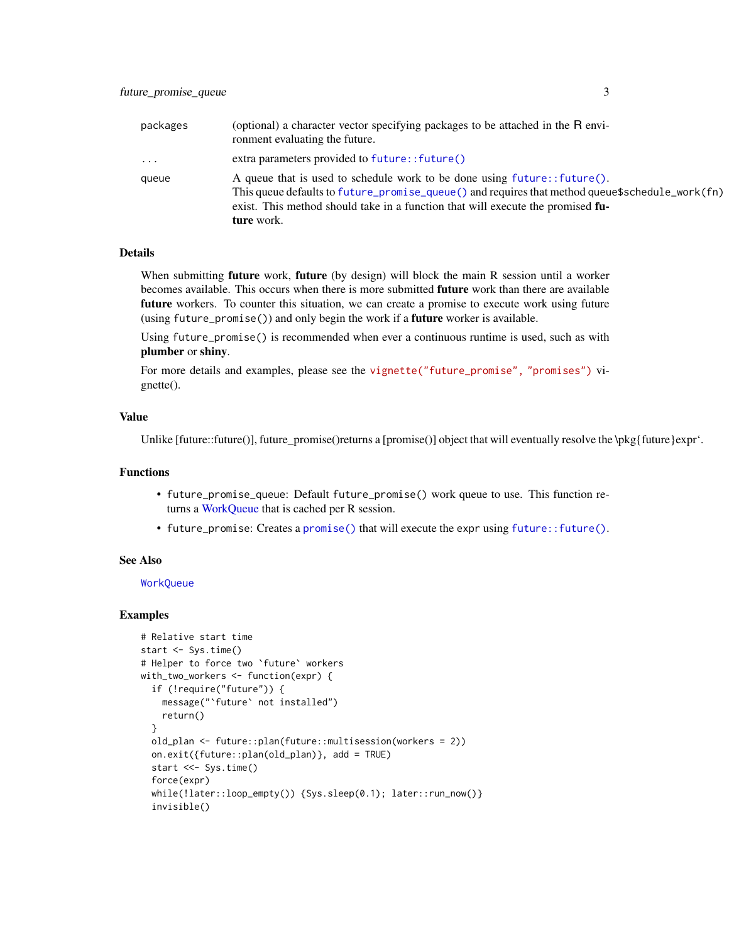<span id="page-2-0"></span>

| packages | (optional) a character vector specifying packages to be attached in the R envi-<br>ronment evaluating the future.                                                                                                                                                             |
|----------|-------------------------------------------------------------------------------------------------------------------------------------------------------------------------------------------------------------------------------------------------------------------------------|
| $\cdot$  | extra parameters provided to future:: future()                                                                                                                                                                                                                                |
| queue    | A queue that is used to schedule work to be done using future:: future().<br>This queue defaults to future_promise_queue() and requires that method queue\$schedule_work(fn)<br>exist. This method should take in a function that will execute the promised fu-<br>ture work. |

#### **Details**

When submitting **future** work, **future** (by design) will block the main R session until a worker becomes available. This occurs when there is more submitted future work than there are available future workers. To counter this situation, we can create a promise to execute work using future (using future\_promise()) and only begin the work if a future worker is available.

Using future\_promise() is recommended when ever a continuous runtime is used, such as with plumber or shiny.

For more details and examples, please see the [vignette\("future\\_promise", "promises"\)](https://rstudio.github.io/promises/articles/future_promise.html) vignette().

#### Value

Unlike  $[future::future()]$ , future promise()returns a  $[promise()]$  object that will eventually resolve the  $\mathcal{W}_{\mathcal{B}}$ {future}expr'.

# Functions

- future\_promise\_queue: Default future\_promise() work queue to use. This function returns a [WorkQueue](#page-0-0) that is cached per R session.
- future\_promise: Creates a [promise\(\)](#page-6-1) that will execute the expr using [future::future\(\)](#page-0-0).

#### See Also

**[WorkQueue](#page-0-0)** 

```
# Relative start time
start <- Sys.time()
# Helper to force two `future` workers
with_two_workers <- function(expr) {
 if (!require("future")) {
   message("`future` not installed")
   return()
 }
 old_plan <- future::plan(future::multisession(workers = 2))
 on.exit({future::plan(old_plan)}, add = TRUE)
 start <<- Sys.time()
 force(expr)
 while(!later::loop_empty()) {Sys.sleep(0.1); later::run_now()}
 invisible()
```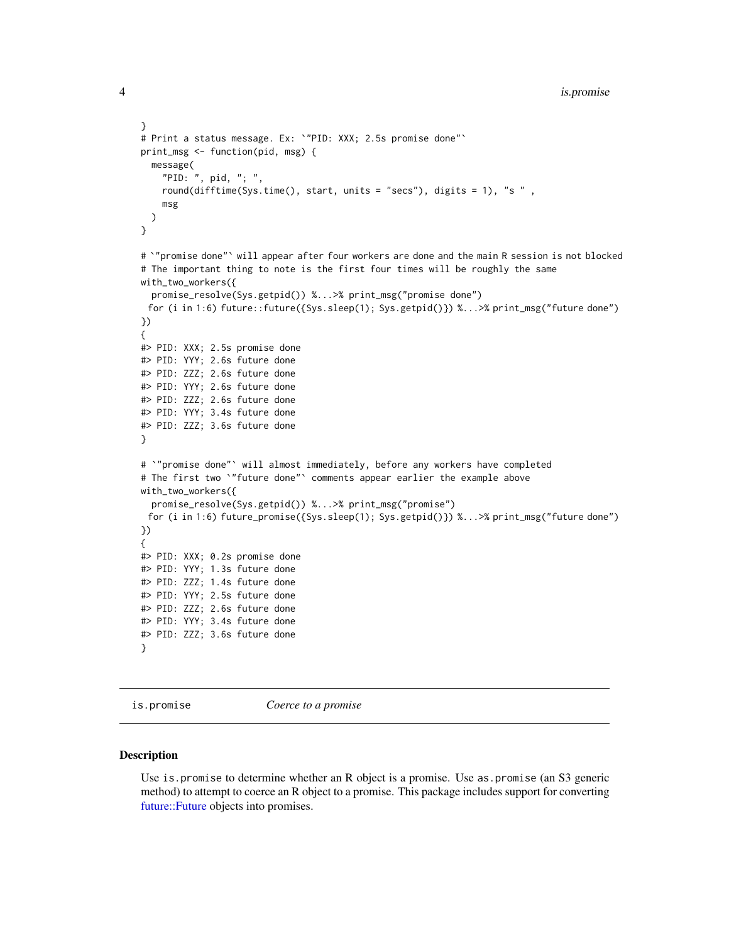```
}
# Print a status message. Ex: `"PID: XXX; 2.5s promise done"`
print_msg <- function(pid, msg) {
  message(
    "PID: ", pid, "; ",
    round(difftime(Sys.time(), start, units = "secs"), digits = 1), "s " ,
    msg
  )
}
# `"promise done"` will appear after four workers are done and the main R session is not blocked
# The important thing to note is the first four times will be roughly the same
with_two_workers({
  promise_resolve(Sys.getpid()) %...>% print_msg("promise done")
 for (i in 1:6) future::future({Sys.sleep(1); Sys.getpid()}) %...>% print_msg("future done")
})
{
#> PID: XXX; 2.5s promise done
#> PID: YYY; 2.6s future done
#> PID: ZZZ; 2.6s future done
#> PID: YYY; 2.6s future done
#> PID: ZZZ; 2.6s future done
#> PID: YYY; 3.4s future done
#> PID: ZZZ; 3.6s future done
}
# `"promise done"` will almost immediately, before any workers have completed
# The first two `"future done"` comments appear earlier the example above
with_two_workers({
 promise_resolve(Sys.getpid()) %...>% print_msg("promise")
 for (i in 1:6) future_promise({Sys.sleep(1); Sys.getpid()}) %...>% print_msg("future done")
})
{
#> PID: XXX; 0.2s promise done
#> PID: YYY; 1.3s future done
#> PID: ZZZ; 1.4s future done
#> PID: YYY; 2.5s future done
#> PID: ZZZ; 2.6s future done
#> PID: YYY; 3.4s future done
#> PID: ZZZ; 3.6s future done
}
```
is.promise *Coerce to a promise*

#### **Description**

Use is.promise to determine whether an R object is a promise. Use as.promise (an S3 generic method) to attempt to coerce an R object to a promise. This package includes support for converting [future::Future](#page-0-0) objects into promises.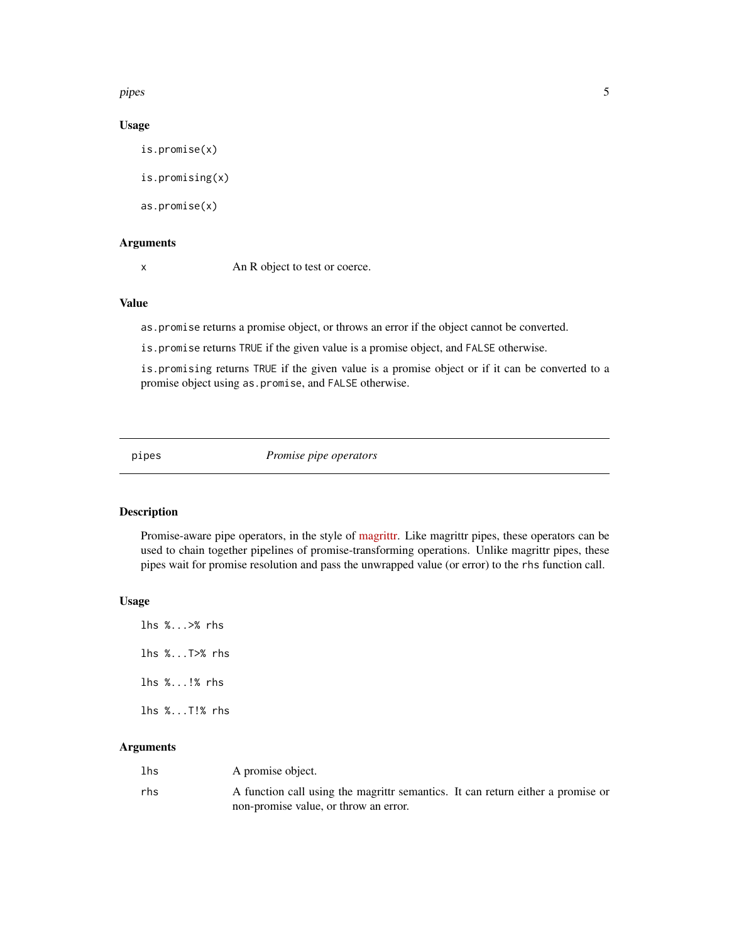<span id="page-4-0"></span>pipes 5

# Usage

```
is.promise(x)
is.promising(x)
as.promise(x)
```
# Arguments

x An R object to test or coerce.

# Value

as.promise returns a promise object, or throws an error if the object cannot be converted.

is.promise returns TRUE if the given value is a promise object, and FALSE otherwise.

is.promising returns TRUE if the given value is a promise object or if it can be converted to a promise object using as.promise, and FALSE otherwise.

<span id="page-4-1"></span>pipes *Promise pipe operators*

# Description

Promise-aware pipe operators, in the style of [magrittr.](https://CRAN.R-project.org/package=magrittr/vignettes/magrittr.html) Like magrittr pipes, these operators can be used to chain together pipelines of promise-transforming operations. Unlike magrittr pipes, these pipes wait for promise resolution and pass the unwrapped value (or error) to the rhs function call.

#### Usage

lhs %...>% rhs lhs %...T>% rhs lhs %...!% rhs lhs %...T!% rhs

# Arguments

| lhs | A promise object.                                                                |
|-----|----------------------------------------------------------------------------------|
| rhs | A function call using the magniture semantics. It can return either a promise or |
|     | non-promise value, or throw an error.                                            |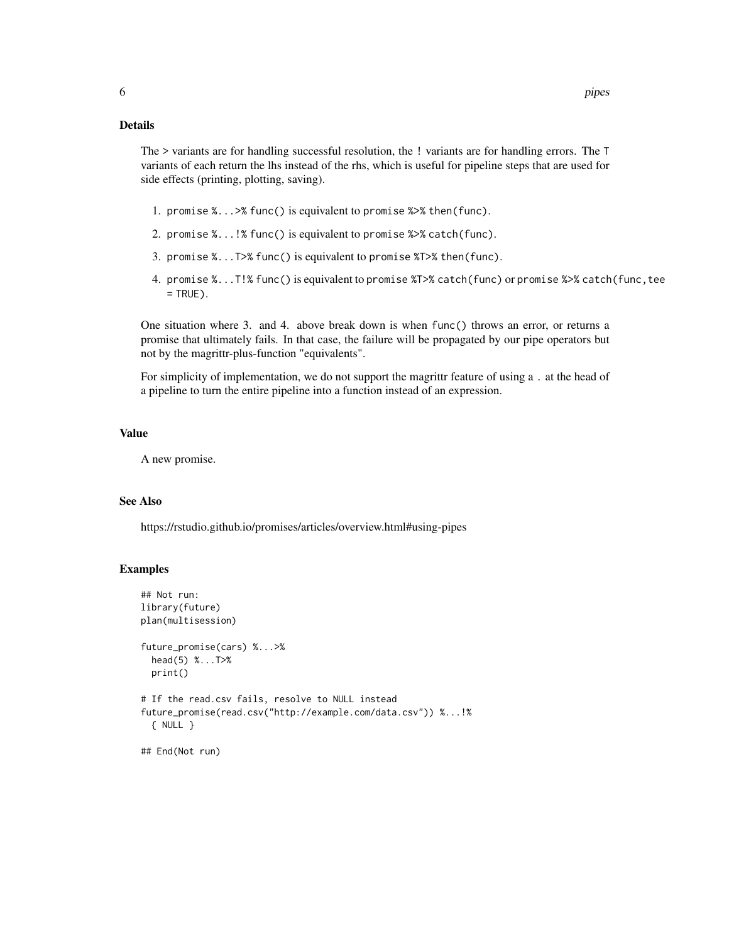# Details

The > variants are for handling successful resolution, the ! variants are for handling errors. The T variants of each return the lhs instead of the rhs, which is useful for pipeline steps that are used for side effects (printing, plotting, saving).

- 1. promise %...>% func() is equivalent to promise %>% then(func).
- 2. promise %...!% func() is equivalent to promise %>% catch(func).
- 3. promise %...T>% func() is equivalent to promise %T>% then(func).
- 4. promise %...T!% func() is equivalent to promise %T>% catch(func) or promise %>% catch(func,tee  $=$  TRUE).

One situation where 3. and 4. above break down is when func() throws an error, or returns a promise that ultimately fails. In that case, the failure will be propagated by our pipe operators but not by the magrittr-plus-function "equivalents".

For simplicity of implementation, we do not support the magrittr feature of using a . at the head of a pipeline to turn the entire pipeline into a function instead of an expression.

# Value

A new promise.

# See Also

https://rstudio.github.io/promises/articles/overview.html#using-pipes

```
## Not run:
library(future)
plan(multisession)
future_promise(cars) %...>%
 head(5) %...T>%
 print()
# If the read.csv fails, resolve to NULL instead
future_promise(read.csv("http://example.com/data.csv")) %...!%
 { NULL }
## End(Not run)
```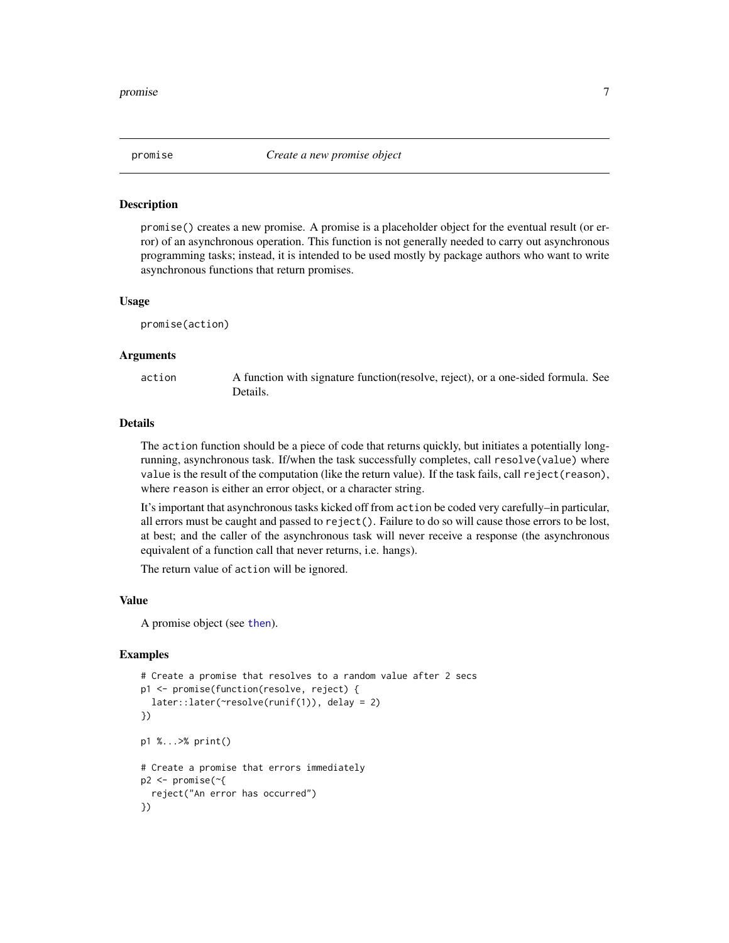<span id="page-6-1"></span><span id="page-6-0"></span>

#### Description

promise() creates a new promise. A promise is a placeholder object for the eventual result (or error) of an asynchronous operation. This function is not generally needed to carry out asynchronous programming tasks; instead, it is intended to be used mostly by package authors who want to write asynchronous functions that return promises.

#### Usage

promise(action)

#### Arguments

action A function with signature function(resolve, reject), or a one-sided formula. See Details.

#### Details

The action function should be a piece of code that returns quickly, but initiates a potentially longrunning, asynchronous task. If/when the task successfully completes, call resolve(value) where value is the result of the computation (like the return value). If the task fails, call reject(reason), where reason is either an error object, or a character string.

It's important that asynchronous tasks kicked off from action be coded very carefully–in particular, all errors must be caught and passed to reject(). Failure to do so will cause those errors to be lost, at best; and the caller of the asynchronous task will never receive a response (the asynchronous equivalent of a function call that never returns, i.e. hangs).

The return value of action will be ignored.

#### Value

A promise object (see [then](#page-10-1)).

```
# Create a promise that resolves to a random value after 2 secs
p1 <- promise(function(resolve, reject) {
 later::later(~resolve(runif(1)), delay = 2)
})
p1 %...>% print()
# Create a promise that errors immediately
p2 <- promise(~{
 reject("An error has occurred")
})
```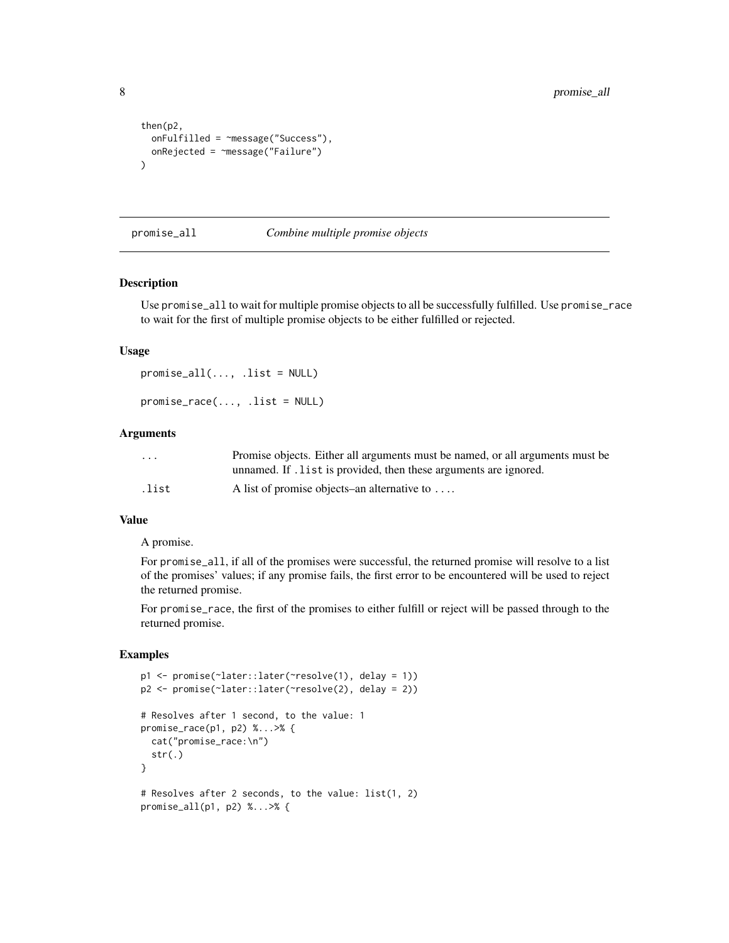```
then(p2,
  onFulfilled = ~message("Success"),
  onRejected = ~message("Failure")
\mathcal{L}
```
promise\_all *Combine multiple promise objects*

#### Description

Use promise\_all to wait for multiple promise objects to all be successfully fulfilled. Use promise\_race to wait for the first of multiple promise objects to be either fulfilled or rejected.

#### Usage

 $promise_a11(..., .list = NULL)$ promise\_race(..., .list = NULL)

#### Arguments

| $\cdot$ $\cdot$ $\cdot$ | Promise objects. Either all arguments must be named, or all arguments must be |
|-------------------------|-------------------------------------------------------------------------------|
|                         | unnamed. If . list is provided, then these arguments are ignored.             |
| .list                   | A list of promise objects–an alternative to $\dots$                           |

#### Value

#### A promise.

For promise\_all, if all of the promises were successful, the returned promise will resolve to a list of the promises' values; if any promise fails, the first error to be encountered will be used to reject the returned promise.

For promise\_race, the first of the promises to either fulfill or reject will be passed through to the returned promise.

```
p1 <- promise(~later::later(~resolve(1), delay = 1))
p2 <- promise(~later::later(~resolve(2), delay = 2))
# Resolves after 1 second, to the value: 1
promise_race(p1, p2) %...>% {
  cat("promise_race:\n")
  str(.)
}
# Resolves after 2 seconds, to the value: list(1, 2)
promise_all(p1, p2) %...>% {
```
<span id="page-7-0"></span>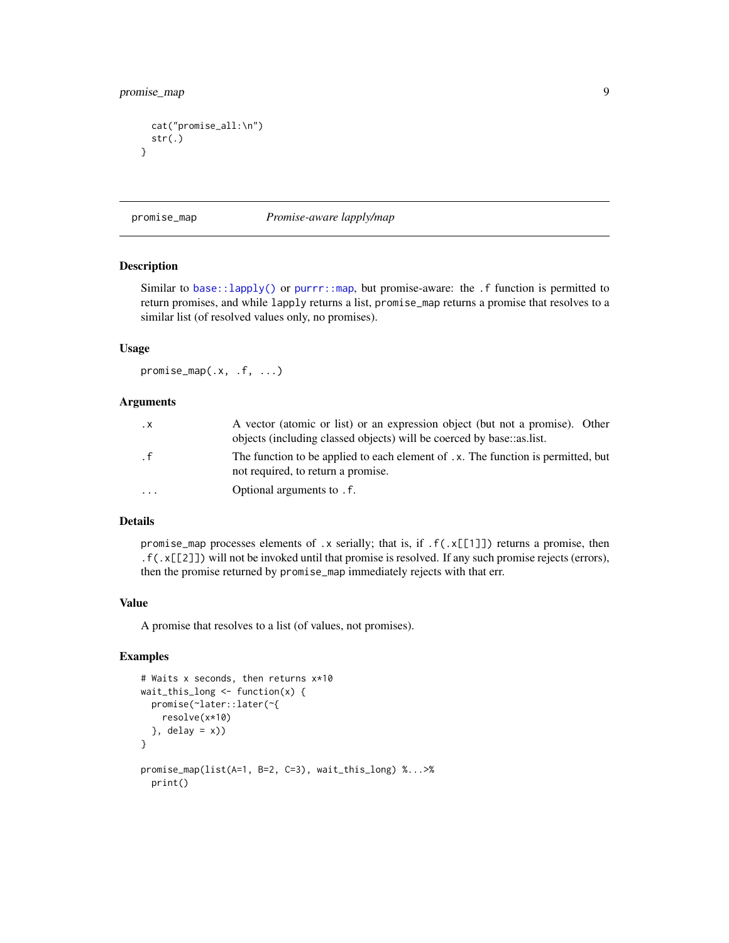# <span id="page-8-0"></span>promise\_map 9

```
cat("promise_all:\n")
 str(.)
}
```
promise\_map *Promise-aware lapply/map*

# Description

Similar to [base::lapply\(\)](#page-0-0) or [purrr::map](#page-0-0), but promise-aware: the  $\cdot$  f function is permitted to return promises, and while lapply returns a list, promise\_map returns a promise that resolves to a similar list (of resolved values only, no promises).

#### Usage

promise\_map(.x, .f, ...)

#### **Arguments**

| $\cdot$ X | A vector (atomic or list) or an expression object (but not a promise). Other<br>objects (including classed objects) will be coerced by base::as.list. |
|-----------|-------------------------------------------------------------------------------------------------------------------------------------------------------|
| $\cdot$ f | The function to be applied to each element of .x. The function is permitted, but<br>not required, to return a promise.                                |
| $\ddotsc$ | Optional arguments to . f.                                                                                                                            |

#### Details

promise\_map processes elements of .x serially; that is, if .f(.x[[1]]) returns a promise, then .f(.x[[2]]) will not be invoked until that promise is resolved. If any such promise rejects (errors), then the promise returned by promise\_map immediately rejects with that err.

#### Value

A promise that resolves to a list (of values, not promises).

```
# Waits x seconds, then returns x*10
wait_this_long \leq function(x) {
  promise(~later::later(~{
   resolve(x*10)
  \}, delay = x))
}
promise_map(list(A=1, B=2, C=3), wait_this_long) %...>%
  print()
```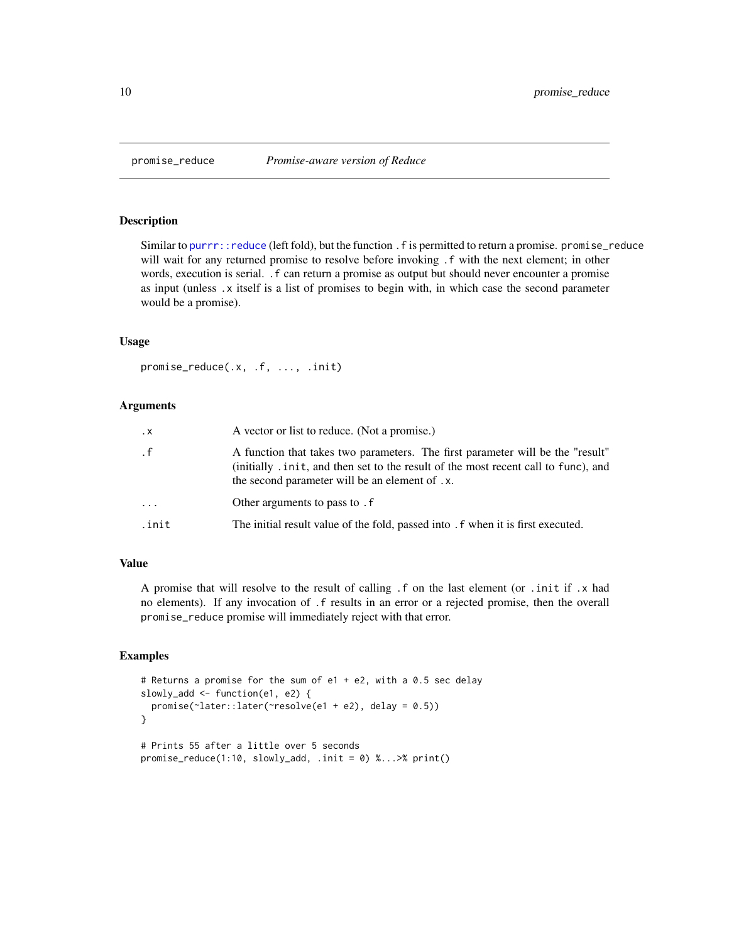<span id="page-9-0"></span>

#### Description

Similar to [purrr::reduce](#page-0-0) (left fold), but the function . f is permitted to return a promise. promise\_reduce will wait for any returned promise to resolve before invoking .f with the next element; in other words, execution is serial. .f can return a promise as output but should never encounter a promise as input (unless .x itself is a list of promises to begin with, in which case the second parameter would be a promise).

#### Usage

promise\_reduce(.x, .f, ..., .init)

# Arguments

| $\cdot$ X | A vector or list to reduce. (Not a promise.)                                                                                                                                                                             |
|-----------|--------------------------------------------------------------------------------------------------------------------------------------------------------------------------------------------------------------------------|
| $\cdot$ f | A function that takes two parameters. The first parameter will be the "result"<br>(initially . in it, and then set to the result of the most recent call to func), and<br>the second parameter will be an element of .x. |
| $\cdots$  | Other arguments to pass to . f                                                                                                                                                                                           |
| .init     | The initial result value of the fold, passed into . f when it is first executed.                                                                                                                                         |

# Value

A promise that will resolve to the result of calling .f on the last element (or .init if .x had no elements). If any invocation of .f results in an error or a rejected promise, then the overall promise\_reduce promise will immediately reject with that error.

```
# Returns a promise for the sum of e1 + e2, with a 0.5 sec delay
slowly_add <- function(e1, e2) {
 promise(~later::later(~resolve(e1 + e2), delay = 0.5))
}
# Prints 55 after a little over 5 seconds
promise_reduce(1:10, slowly_add, .init = 0) %...>% print()
```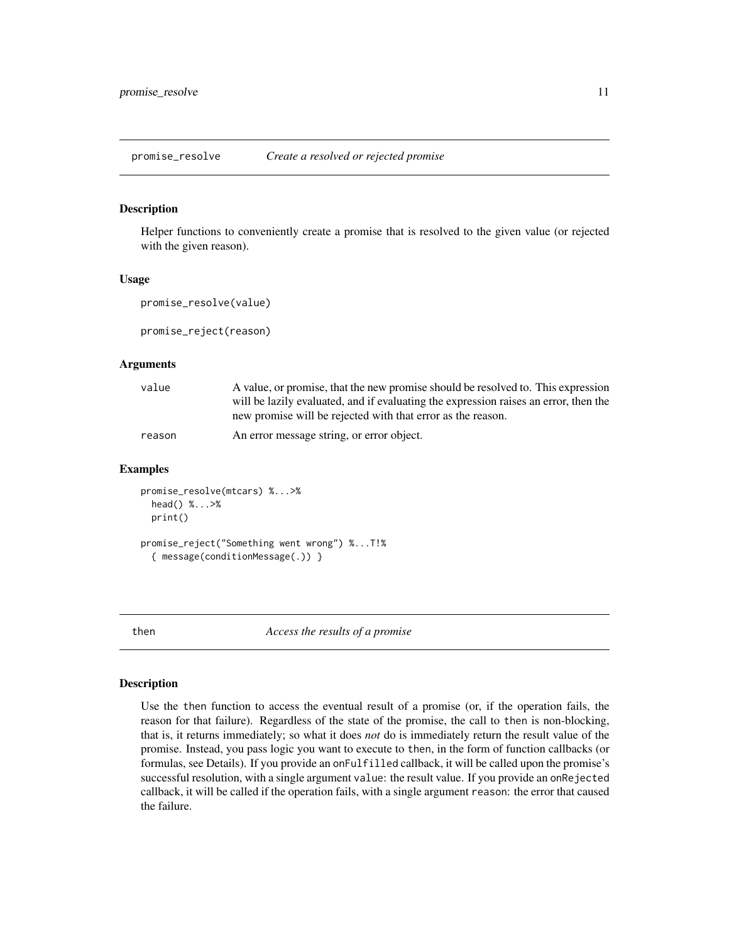<span id="page-10-0"></span>promise\_resolve *Create a resolved or rejected promise*

# **Description**

Helper functions to conveniently create a promise that is resolved to the given value (or rejected with the given reason).

#### Usage

```
promise_resolve(value)
```
promise\_reject(reason)

# Arguments

| value  | A value, or promise, that the new promise should be resolved to. This expression<br>will be lazily evaluated, and if evaluating the expression raises an error, then the<br>new promise will be rejected with that error as the reason. |
|--------|-----------------------------------------------------------------------------------------------------------------------------------------------------------------------------------------------------------------------------------------|
| reason | An error message string, or error object.                                                                                                                                                                                               |

#### Examples

```
promise_resolve(mtcars) %...>%
 head() %...>%
 print()
promise_reject("Something went wrong") %...T!%
 { message(conditionMessage(.)) }
```
<span id="page-10-1"></span>

then *Access the results of a promise*

#### <span id="page-10-2"></span>Description

Use the then function to access the eventual result of a promise (or, if the operation fails, the reason for that failure). Regardless of the state of the promise, the call to then is non-blocking, that is, it returns immediately; so what it does *not* do is immediately return the result value of the promise. Instead, you pass logic you want to execute to then, in the form of function callbacks (or formulas, see Details). If you provide an onFulfilled callback, it will be called upon the promise's successful resolution, with a single argument value: the result value. If you provide an onRejected callback, it will be called if the operation fails, with a single argument reason: the error that caused the failure.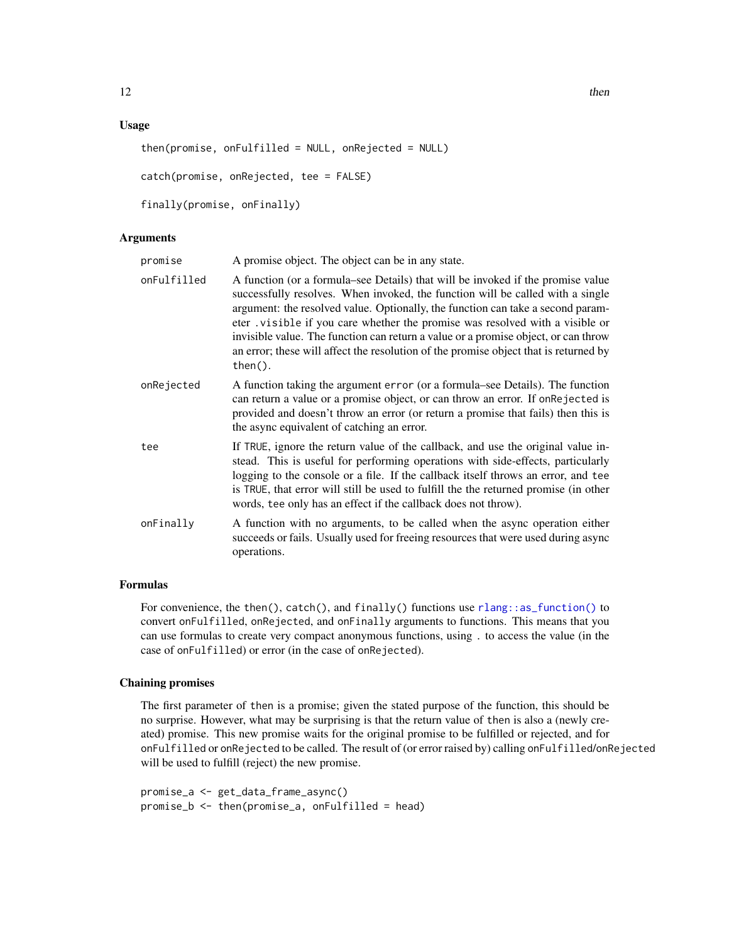#### <span id="page-11-0"></span>Usage

```
then(promise, onFulfilled = NULL, onRejected = NULL)
catch(promise, onRejected, tee = FALSE)
finally(promise, onFinally)
```
# Arguments

| promise     | A promise object. The object can be in any state.                                                                                                                                                                                                                                                                                                                                                                                                                                                                                |
|-------------|----------------------------------------------------------------------------------------------------------------------------------------------------------------------------------------------------------------------------------------------------------------------------------------------------------------------------------------------------------------------------------------------------------------------------------------------------------------------------------------------------------------------------------|
| onFulfilled | A function (or a formula–see Details) that will be invoked if the promise value<br>successfully resolves. When invoked, the function will be called with a single<br>argument: the resolved value. Optionally, the function can take a second param-<br>eter visible if you care whether the promise was resolved with a visible or<br>invisible value. The function can return a value or a promise object, or can throw<br>an error; these will affect the resolution of the promise object that is returned by<br>$then(.)$ . |
| onRejected  | A function taking the argument error (or a formula–see Details). The function<br>can return a value or a promise object, or can throw an error. If onRejected is<br>provided and doesn't throw an error (or return a promise that fails) then this is<br>the async equivalent of catching an error.                                                                                                                                                                                                                              |
| tee         | If TRUE, ignore the return value of the callback, and use the original value in-<br>stead. This is useful for performing operations with side-effects, particularly<br>logging to the console or a file. If the callback itself throws an error, and tee<br>is TRUE, that error will still be used to fulfill the the returned promise (in other<br>words, tee only has an effect if the callback does not throw).                                                                                                               |
| onFinally   | A function with no arguments, to be called when the async operation either<br>succeeds or fails. Usually used for freeing resources that were used during async<br>operations.                                                                                                                                                                                                                                                                                                                                                   |

# Formulas

For convenience, the then(), catch(), and finally() functions use  $rlang::as_function()$  to convert onFulfilled, onRejected, and onFinally arguments to functions. This means that you can use formulas to create very compact anonymous functions, using . to access the value (in the case of onFulfilled) or error (in the case of onRejected).

# Chaining promises

The first parameter of then is a promise; given the stated purpose of the function, this should be no surprise. However, what may be surprising is that the return value of then is also a (newly created) promise. This new promise waits for the original promise to be fulfilled or rejected, and for onFulfilled or onRejected to be called. The result of (or error raised by) calling onFulfilled/onRejected will be used to fulfill (reject) the new promise.

```
promise_a <- get_data_frame_async()
promise_b <- then(promise_a, onFulfilled = head)
```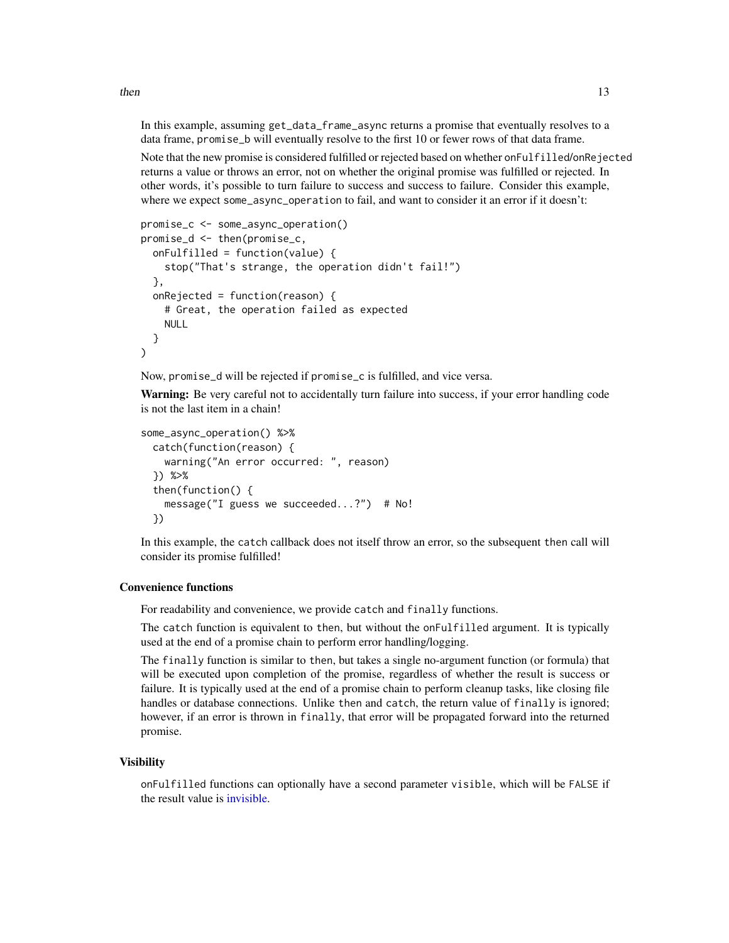In this example, assuming get\_data\_frame\_async returns a promise that eventually resolves to a data frame, promise\_b will eventually resolve to the first 10 or fewer rows of that data frame.

Note that the new promise is considered fulfilled or rejected based on whether onFulfilled/onRejected returns a value or throws an error, not on whether the original promise was fulfilled or rejected. In other words, it's possible to turn failure to success and success to failure. Consider this example, where we expect some\_async\_operation to fail, and want to consider it an error if it doesn't:

```
promise_c <- some_async_operation()
promise_d <- then(promise_c,
  onFulfilled = function(value) {
    stop("That's strange, the operation didn't fail!")
  },
  onRejected = function(reason) {
    # Great, the operation failed as expected
    NULL
  }
)
```
Now, promise\_d will be rejected if promise\_c is fulfilled, and vice versa.

Warning: Be very careful not to accidentally turn failure into success, if your error handling code is not the last item in a chain!

```
some_async_operation() %>%
  catch(function(reason) {
   warning("An error occurred: ", reason)
  }) %>%
  then(function() {
   message("I guess we succeeded...?") # No!
  })
```
In this example, the catch callback does not itself throw an error, so the subsequent then call will consider its promise fulfilled!

# Convenience functions

For readability and convenience, we provide catch and finally functions.

The catch function is equivalent to then, but without the onFulfilled argument. It is typically used at the end of a promise chain to perform error handling/logging.

The finally function is similar to then, but takes a single no-argument function (or formula) that will be executed upon completion of the promise, regardless of whether the result is success or failure. It is typically used at the end of a promise chain to perform cleanup tasks, like closing file handles or database connections. Unlike then and catch, the return value of finally is ignored; however, if an error is thrown in finally, that error will be propagated forward into the returned promise.

# **Visibility**

onFulfilled functions can optionally have a second parameter visible, which will be FALSE if the result value is [invisible.](#page-0-0)

<span id="page-12-0"></span> $then$  13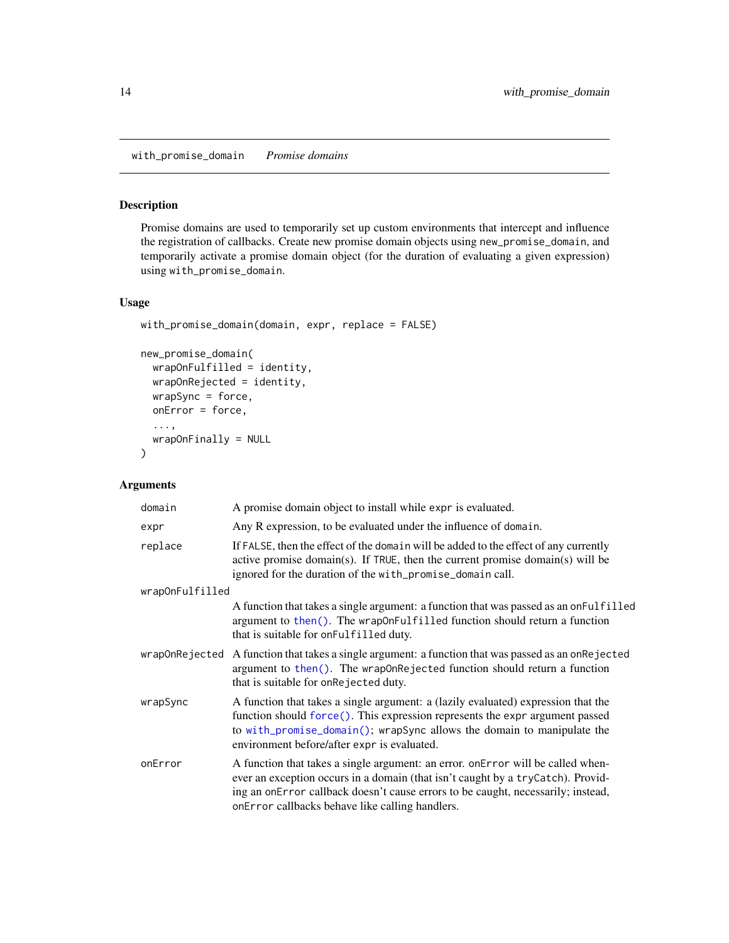<span id="page-13-1"></span><span id="page-13-0"></span>with\_promise\_domain *Promise domains*

# Description

Promise domains are used to temporarily set up custom environments that intercept and influence the registration of callbacks. Create new promise domain objects using new\_promise\_domain, and temporarily activate a promise domain object (for the duration of evaluating a given expression) using with\_promise\_domain.

# Usage

```
with_promise_domain(domain, expr, replace = FALSE)
```

```
new_promise_domain(
 wrapOnFulfilled = identity,
 wrapOnRejected = identity,
 wrapSync = force,
  onError = force,
  ...,
  wrapOnFinally = NULL
)
```
# Arguments

| domain          | A promise domain object to install while expr is evaluated.                                                                                                                                                                                                                                                |
|-----------------|------------------------------------------------------------------------------------------------------------------------------------------------------------------------------------------------------------------------------------------------------------------------------------------------------------|
| expr            | Any R expression, to be evaluated under the influence of domain.                                                                                                                                                                                                                                           |
| replace         | If FALSE, then the effect of the domain will be added to the effect of any currently<br>active promise domain(s). If $TRUE$ , then the current promise domain(s) will be<br>ignored for the duration of the with_promise_domain call.                                                                      |
| wrapOnFulfilled |                                                                                                                                                                                                                                                                                                            |
|                 | A function that takes a single argument: a function that was passed as an on-Fulfilled<br>argument to then(). The wrapOnFulfilled function should return a function<br>that is suitable for on Fulfilled duty.                                                                                             |
|                 | wrapOnRejected A function that takes a single argument: a function that was passed as an onRejected<br>argument to then(). The wrapOnRejected function should return a function<br>that is suitable for onRejected duty.                                                                                   |
| wrapSync        | A function that takes a single argument: a (lazily evaluated) expression that the<br>function should force(). This expression represents the expr argument passed<br>to with_promise_domain(); wrapSync allows the domain to manipulate the<br>environment before/after expr is evaluated.                 |
| onError         | A function that takes a single argument: an error. on Error will be called when-<br>ever an exception occurs in a domain (that isn't caught by a tryCatch). Provid-<br>ing an onError callback doesn't cause errors to be caught, necessarily; instead,<br>onError callbacks behave like calling handlers. |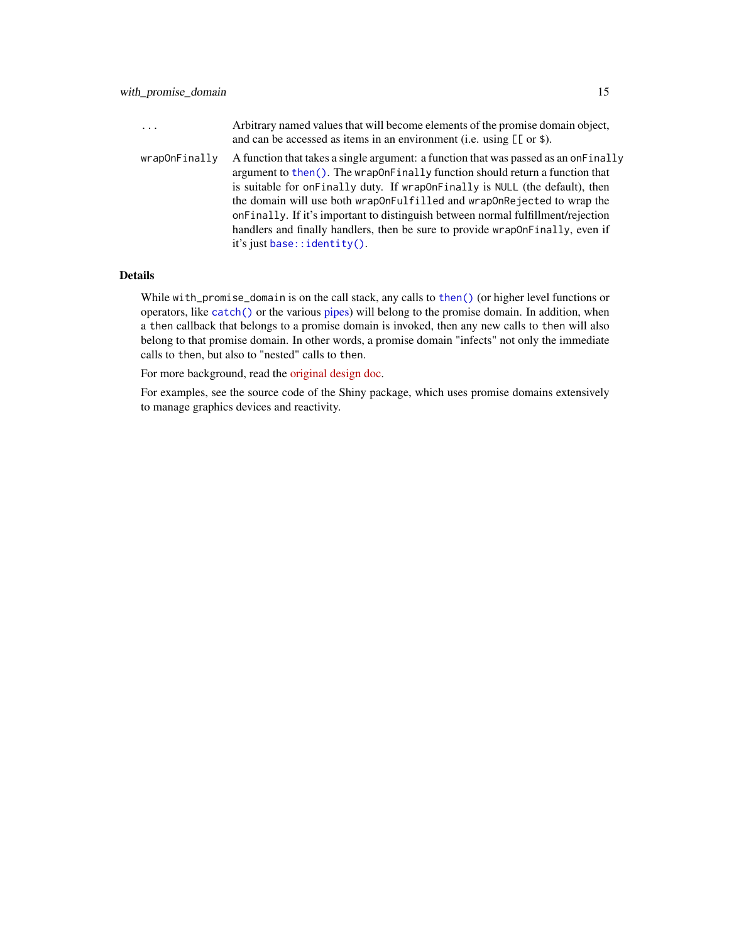<span id="page-14-0"></span>

| $\cdots$      | Arbitrary named values that will become elements of the promise domain object,<br>and can be accessed as items in an environment (i.e. using $[\lceil \text{or } \$ \rceil]$ ).                                                                                                                                                                                                                                                                                                                                                               |
|---------------|-----------------------------------------------------------------------------------------------------------------------------------------------------------------------------------------------------------------------------------------------------------------------------------------------------------------------------------------------------------------------------------------------------------------------------------------------------------------------------------------------------------------------------------------------|
| wrapOnFinally | A function that takes a single argument: a function that was passed as an one Finally<br>argument to then(). The wrap on Finally function should return a function that<br>is suitable for on Finally duty. If wrapon Finally is NULL (the default), then<br>the domain will use both wrap0nFulfilled and wrap0nRejected to wrap the<br>onFinally. If it's important to distinguish between normal fulfillment/rejection<br>handlers and finally handlers, then be sure to provide wrapon Finally, even if<br>it's just base:: $identity()$ . |

# Details

While with\_promise\_domain is on the call stack, any calls to [then\(\)](#page-10-1) (or higher level functions or operators, like [catch\(\)](#page-10-2) or the various [pipes\)](#page-4-1) will belong to the promise domain. In addition, when a then callback that belongs to a promise domain is invoked, then any new calls to then will also belong to that promise domain. In other words, a promise domain "infects" not only the immediate calls to then, but also to "nested" calls to then.

For more background, read the [original design doc.](https://gist.github.com/jcheng5/b1c87bb416f6153643cd0470ac756231)

For examples, see the source code of the Shiny package, which uses promise domains extensively to manage graphics devices and reactivity.